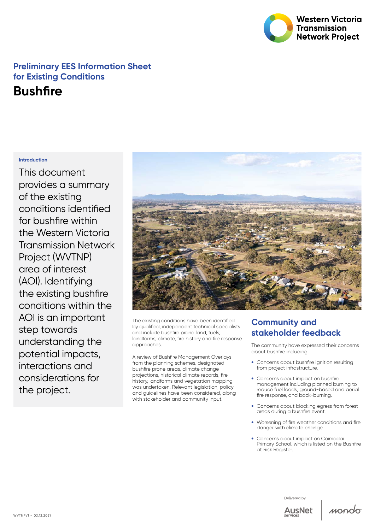

## **Preliminary EES Information Sheet for Existing Conditions**

# **Bushfire**

#### **Introduction**

This document provides a summary of the existing conditions identified for bushfire within the Western Victoria Transmission Network Project (WVTNP) area of interest (AOI). Identifying the existing bushfire conditions within the AOI is an important step towards understanding the potential impacts, interactions and considerations for the project.



The existing conditions have been identified by qualified, independent technical specialists and include bushfire prone land, fuels, landforms, climate, fire history and fire response approaches.

A review of Bushfire Management Overlays from the planning schemes, designated bushfire prone areas, climate change projections, historical climate records, fire history, landforms and vegetation mapping was undertaken. Relevant legislation, policy and guidelines have been considered, along with stakeholder and community input.

### **Community and stakeholder feedback**

The community have expressed their concerns about bushfire including:

- Concerns about bushfire ignition resulting from project infrastructure.
- Concerns about impact on bushfire management including planned burning to reduce fuel loads, ground-based and aerial fire response, and back-burning.
- Concerns about blocking egress from forest areas during a bushfire event.
- • Worsening of fire weather conditions and fire danger with climate change.
- Concerns about impact on Coimadai Primary School, which is listed on the Bushfire at Risk Register.





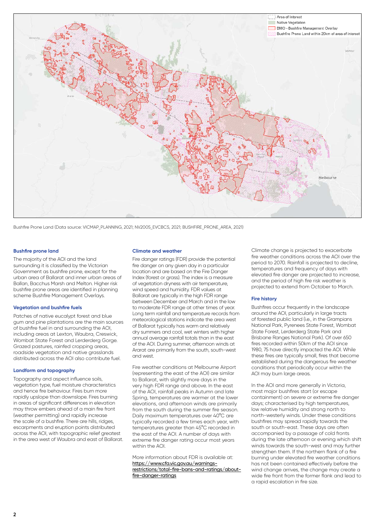

Bushfire Prone Land (Data source: VICMAP\_PLANNING, 2021; NV2005\_EVCBCS, 2021; BUSHFIRE\_PRONE\_AREA, 2021)

#### **Bushfire prone land**

The majority of the AOI and the land surrounding it is classified by the Victorian Government as bushfire prone, except for the urban area of Ballarat and inner urban areas of Ballan, Bacchus Marsh and Melton. Higher risk bushfire prone areas are identified in planning scheme Bushfire Management Overlays.

#### **Vegetation and bushfire fuels**

Patches of native eucalypt forest and blue gum and pine plantations are the main sources of bushfire fuel in and surrounding the AOI, including areas at Lexton, Waubra, Creswick, Wombat State Forest and Lerderderg Gorge. Grazed pastures, rainfed cropping areas, roadside vegetation and native grasslands distributed across the AOI also contribute fuel.

#### **Landform and topography**

Topography and aspect influence soils, vegetation type, fuel moisture characteristics and hence fire behaviour. Fires burn more rapidly upslope than downslope. Fires burning in areas of significant differences in elevation may throw embers ahead of a main fire front (weather permitting) and rapidly increase the scale of a bushfire. There are hills, ridges, escarpments and eruption points distributed across the AOI, with topographic relief greatest in the area west of Waubra and east of Ballarat.

#### **Climate and weather**

Fire danger ratings (FDR) provide the potential fire danger on any given day in a particular location and are based on the Fire Danger Index (forest or grass). The index is a measure of vegetation dryness with air temperature, wind speed and humidity. FDR values at Ballarat are typically in the high FDR range between December and March and in the low to moderate FDR range at other times of year. Long term rainfall and temperature records from meteorological stations indicate the area west of Ballarat typically has warm and relatively dry summers and cool, wet winters with higher annual average rainfall totals than in the east of the AOI. During summer, afternoon winds at Ararat are primarily from the south, south-west and west.

Fire weather conditions at Melbourne Airport (representing the east of the AOI) are similar to Ballarat, with slightly more days in the very high FDR range and above. In the east of the AOI, rainfall peaks in Autumn and late Spring, temperatures are warmer at the lower elevations, and afternoon winds are primarily from the south during the summer fire season. Daily maximum temperatures over 40°C are typically recorded a few times each year, with temperatures greater than 45°C recorded in the east of the AOI. A number of days with extreme fire danger rating occur most years within the AOI.

More information about FDR is available at: [https://www.cfa.vic.gov.au/warnings](https://www.cfa.vic.gov.au/warnings-restrictions/total-fire-bans-and-ratings/about-fire-danger-ratings)[restrictions/total-fire-bans-and-ratings/about](https://www.cfa.vic.gov.au/warnings-restrictions/total-fire-bans-and-ratings/about-fire-danger-ratings)[fire-danger-ratings](https://www.cfa.vic.gov.au/warnings-restrictions/total-fire-bans-and-ratings/about-fire-danger-ratings)

Climate change is projected to exacerbate fire weather conditions across the AOI over the period to 2070. Rainfall is projected to decline, temperatures and frequency of days with elevated fire danger are projected to increase, and the period of high fire risk weather is projected to extend from October to March.

#### **Fire history**

Bushfires occur frequently in the landscape around the AOI, particularly in large tracts of forested public land (i.e., in the Grampians National Park, Pyrenees State Forest, Wombat State Forest, Lerderderg State Park and Brisbane Ranges National Park). Of over 650 fires recorded within 50km of the AOI since 1980, 75 have directly impacted the AOI. While these fires are typically small, fires that become established during the dangerous fire weather conditions that periodically occur within the AOI may burn large areas.

In the AOI and more generally in Victoria, most major bushfires start (or escape containment) on severe or extreme fire danger days; characterised by high temperatures, low relative humidity and strong north to north-westerly winds. Under these conditions bushfires may spread rapidly towards the south or south-east. These days are often accompanied by a passage of cold fronts during the late afternoon or evening which shift winds towards the south-west and may further strengthen them. If the northern flank of a fire burning under elevated fire weather conditions has not been contained effectively before the wind change arrives, the change may create a wide fire front from the former flank and lead to a rapid escalation in fire size.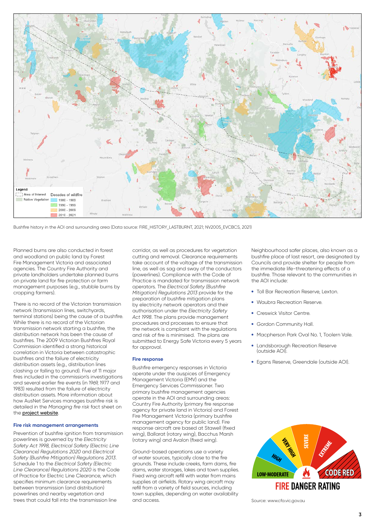

Bushfire history in the AOI and surrounding area (Data source: FIRE\_HISTORY\_LASTBURNT, 2021; NV2005\_EVCBCS, 2021)

Planned burns are also conducted in forest and woodland on public land by Forest Fire Management Victoria and associated agencies. The Country Fire Authority and private landholders undertake planned burns on private land for fire protection or farm management purposes (e.g., stubble burns by cropping farmers).

There is no record of the Victorian transmission network (transmission lines, switchyards, terminal stations) being the cause of a bushfire. While there is no record of the Victorian transmission network starting a bushfire, the distribution network has been the cause of bushfires. The 2009 Victorian Bushfires Royal Commission identified a strong historical correlation in Victoria between catastrophic bushfires and the failure of electricity distribution assets (e.g., distribution lines clashing or falling to ground). Five of 11 major fires included in the commission's investigations and several earlier fire events (in 1969, 1977 and 1983) resulted from the failure of electricity distribution assets. More information about how AusNet Services manages bushfire risk is detailed in the *Managing fire risk* fact sheet on the **[project website](https://www.westvictnp.com.au/)**.

#### **Fire risk management arrangements**

Prevention of bushfire ignition from transmission powerlines is governed by the *Electricity Safety Act 1998, Electrical Safety (Electric Line Clearance) Regulations 2020* and *Electrical Safety (Bushfire Mitigation) Regulations 2013*. Schedule 1 to the *Electrical Safety (Electric Line Clearance) Regulations 2020* is the Code of Practice for Electric Line Clearance, which specifies minimum clearance requirements between transmission (and distribution) powerlines and nearby vegetation and trees that could fall into the transmission line

corridor, as well as procedures for vegetation cutting and removal. Clearance requirements take account of the voltage of the transmission line, as well as sag and sway of the conductors (powerlines). Compliance with the Code of Practice is mandated for transmission network operators. The *Electrical Safety (Bushfire Mitigation) Regulations 2013* provide for the preparation of bushfire mitigation plans by electricity network operators and their authorisation under the *Electricity Safety Act 1998*. The plans provide management procedures and processes to ensure that the network is compliant with the regulations and risk of fire is minimised. The plans are submitted to Energy Safe Victoria every 5 years for approval.

#### **Fire response**

Bushfire emergency responses in Victoria operate under the auspices of Emergency Management Victoria (EMV) and the Emergency Services Commissioner. Two primary bushfire management agencies operate in the AOI and surrounding areas: Country Fire Authority (primary fire response agency for private land in Victoria) and Forest Fire Management Victoria (primary bushfire management agency for public land). Fire response aircraft are based at Stawell (fixed wing), Ballarat (rotary wing), Bacchus Marsh (rotary wing) and Avalon (fixed wing).

Ground-based operations use a variety of water sources, typically close to the fire grounds. These include creeks, farm dams, fire dams, water storages, lakes and town supplies. Fixed wing aircraft refill with water from mains supplies at airfields. Rotary wing aircraft may refill from a variety of field sources, including town supplies, depending on water availability and access.

Neighbourhood safer places, also known as a bushfire place of last resort, are designated by Councils and provide shelter for people from the immediate life-threatening effects of a bushfire. Those relevant to the communities in the AOI include:

- Toll Bar Recreation Reserve, Lexton.
- Waubra Recreation Reserve
- Creswick Visitor Centre.
- Gordon Community Hall.
- Macpherson Park Oval No. 1, Toolern Vale.
- Landsborough Recreation Reserve (outside AOI).
- • Egans Reserve, Greendale (outside AOI).



Source: www.cfa.vic.gov.au